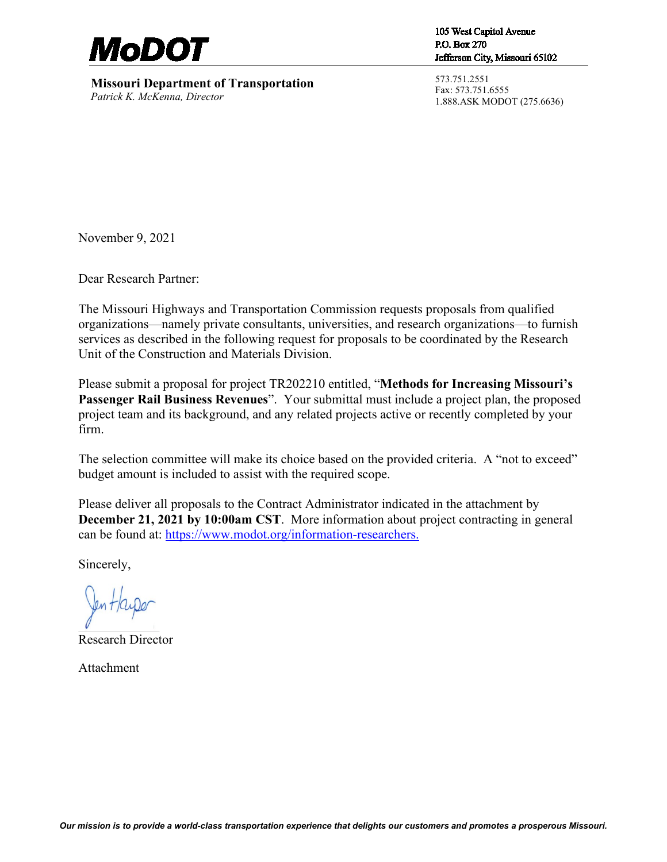

**Missouri Department of Transportation** *Patrick K. McKenna, Director*

105 West Capitol Avenue P.O. Box 270 Jefferson City, Missouri 65102

573.751.2551 Fax: 573.751.6555 1.888.ASK MODOT (275.6636)

November 9, 2021

Dear Research Partner:

The Missouri Highways and Transportation Commission requests proposals from qualified organizations—namely private consultants, universities, and research organizations—to furnish services as described in the following request for proposals to be coordinated by the Research Unit of the Construction and Materials Division.

Please submit a proposal for project TR202210 entitled, "**Methods for Increasing Missouri's Passenger Rail Business Revenues**". Your submittal must include a project plan, the proposed project team and its background, and any related projects active or recently completed by your firm.

The selection committee will make its choice based on the provided criteria. A "not to exceed" budget amount is included to assist with the required scope.

Please deliver all proposals to the Contract Administrator indicated in the attachment by **December 21, 2021 by 10:00am CST**. More information about project contracting in general can be found at: [https://www.modot.org/information-researchers.](https://www.modot.org/information-researchers)

Sincerely,

fen Hayper

Research Director

Attachment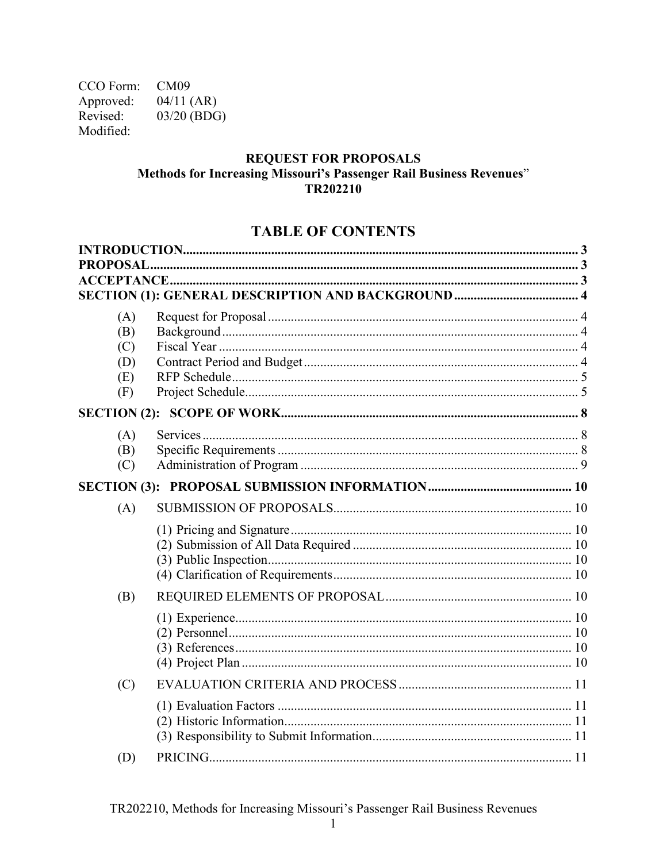CCO Form: CM09 Approved:  $04/11$  (AR) Revised: 03/20 (BDG) Modified:

#### **REQUEST FOR PROPOSALS** Methods for Increasing Missouri's Passenger Rail Business Revenues" TR202210

# **TABLE OF CONTENTS**

| <b>PROPOSAL</b> |  |
|-----------------|--|
|                 |  |
|                 |  |
| (A)             |  |
| (B)             |  |
| (C)             |  |
| (D)             |  |
| (E)             |  |
| (F)             |  |
|                 |  |
| (A)             |  |
| (B)             |  |
| (C)             |  |
|                 |  |
| (A)             |  |
|                 |  |
|                 |  |
|                 |  |
|                 |  |
| (B)             |  |
|                 |  |
|                 |  |
|                 |  |
|                 |  |
| (C)             |  |
|                 |  |
|                 |  |
|                 |  |
| (D)             |  |
|                 |  |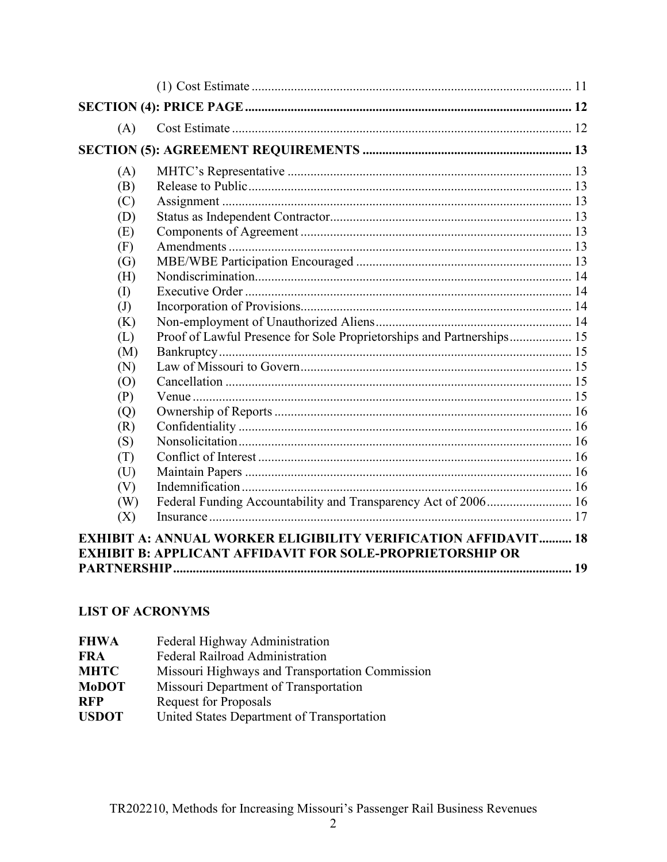| (A)                        |                                                                       |  |
|----------------------------|-----------------------------------------------------------------------|--|
|                            |                                                                       |  |
| (A)                        |                                                                       |  |
| (B)                        |                                                                       |  |
| (C)                        |                                                                       |  |
| (D)                        |                                                                       |  |
| (E)                        |                                                                       |  |
| (F)                        |                                                                       |  |
| (G)                        |                                                                       |  |
| (H)                        |                                                                       |  |
| (I)                        |                                                                       |  |
| $\left( \mathrm{J}\right)$ |                                                                       |  |
| (K)                        |                                                                       |  |
| (L)                        | Proof of Lawful Presence for Sole Proprietorships and Partnerships 15 |  |
| (M)                        |                                                                       |  |
| (N)                        |                                                                       |  |
| (0)                        |                                                                       |  |
| (P)                        |                                                                       |  |
| (Q)                        |                                                                       |  |
| (R)                        |                                                                       |  |
| (S)                        |                                                                       |  |
| (T)                        |                                                                       |  |
| (U)                        |                                                                       |  |
| (V)                        |                                                                       |  |
| (W)                        | Federal Funding Accountability and Transparency Act of 2006 16        |  |
| (X)                        |                                                                       |  |
|                            | <b>EXHIBIT A: ANNUAL WORKER ELIGIBILITY VERIFICATION AFFIDAVIT 18</b> |  |
|                            | <b>EXHIBIT B: APPLICANT AFFIDAVIT FOR SOLE-PROPRIETORSHIP OR</b>      |  |
|                            |                                                                       |  |
|                            |                                                                       |  |

## **LIST OF ACRONYMS**

| <b>FHWA</b>  | Federal Highway Administration                  |
|--------------|-------------------------------------------------|
| FRA          | Federal Railroad Administration                 |
| <b>MHTC</b>  | Missouri Highways and Transportation Commission |
| <b>MoDOT</b> | Missouri Department of Transportation           |
| <b>RFP</b>   | <b>Request for Proposals</b>                    |
| <b>USDOT</b> | United States Department of Transportation      |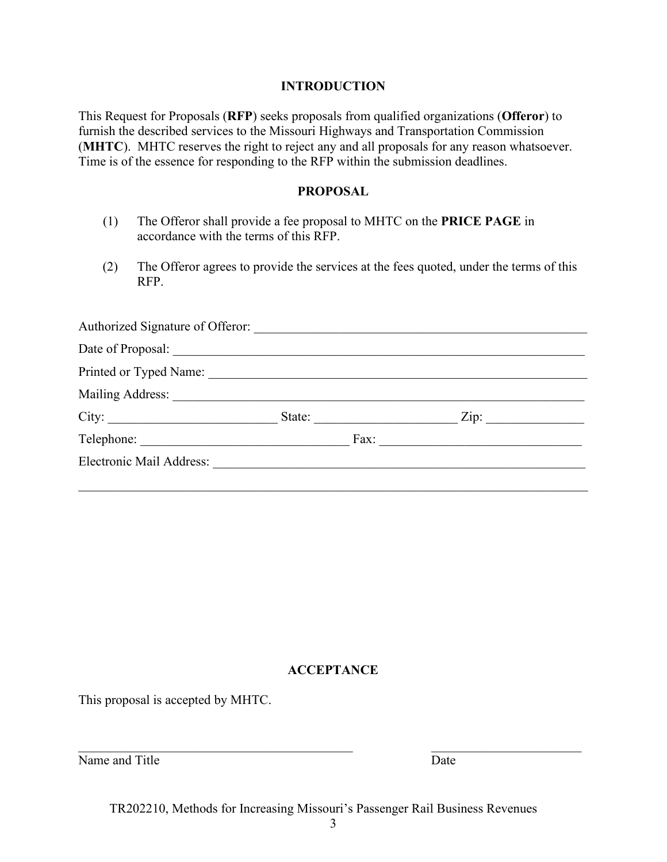#### **INTRODUCTION**

<span id="page-3-0"></span>This Request for Proposals (**RFP**) seeks proposals from qualified organizations (**Offeror**) to furnish the described services to the Missouri Highways and Transportation Commission (**MHTC**). MHTC reserves the right to reject any and all proposals for any reason whatsoever. Time is of the essence for responding to the RFP within the submission deadlines.

#### **PROPOSAL**

- <span id="page-3-1"></span>(1) The Offeror shall provide a fee proposal to MHTC on the **PRICE PAGE** in accordance with the terms of this RFP.
- (2) The Offeror agrees to provide the services at the fees quoted, under the terms of this RFP.

<span id="page-3-2"></span>

| Authorized Signature of Offeror: |               |                           |
|----------------------------------|---------------|---------------------------|
|                                  |               |                           |
| Printed or Typed Name:           |               |                           |
| Mailing Address:                 |               |                           |
|                                  | State:        | $\overline{\text{Zip: }}$ |
|                                  | $\text{Fax:}$ |                           |
| Electronic Mail Address:         |               |                           |
|                                  |               |                           |

### **ACCEPTANCE**

This proposal is accepted by MHTC.

| Name and Title | Date |
|----------------|------|
|----------------|------|

TR202210, Methods for Increasing Missouri's Passenger Rail Business Revenues

 $\mathcal{L}_\text{max}$  , and the contribution of the contribution of the contribution of the contribution of the contribution of the contribution of the contribution of the contribution of the contribution of the contribution of t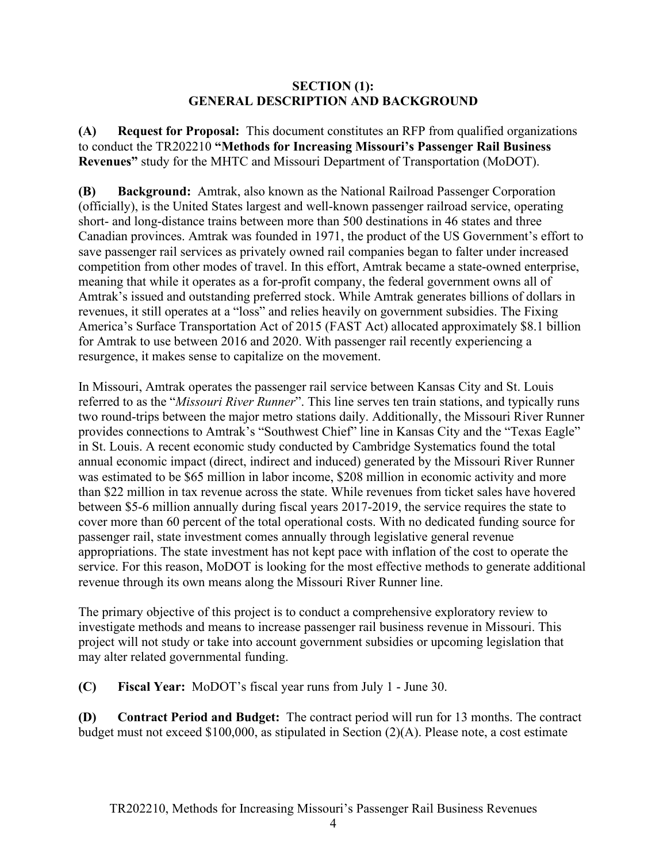#### **SECTION (1): GENERAL DESCRIPTION AND BACKGROUND**

<span id="page-4-1"></span><span id="page-4-0"></span>**(A) Request for Proposal:** This document constitutes an RFP from qualified organizations to conduct the TR202210 **"Methods for Increasing Missouri's Passenger Rail Business Revenues"** study for the MHTC and Missouri Department of Transportation (MoDOT).

<span id="page-4-2"></span>**(B) Background:** Amtrak, also known as the National Railroad Passenger Corporation (officially), is the United States largest and well-known passenger railroad service, operating short- and long-distance trains between more than 500 destinations in 46 states and three Canadian provinces. Amtrak was founded in 1971, the product of the US Government's effort to save passenger rail services as privately owned rail companies began to falter under increased competition from other modes of travel. In this effort, Amtrak became a state-owned enterprise, meaning that while it operates as a for-profit company, the federal government owns all of Amtrak's issued and outstanding preferred stock. While Amtrak generates billions of dollars in revenues, it still operates at a "loss" and relies heavily on government subsidies. The Fixing America's Surface Transportation Act of 2015 (FAST Act) allocated approximately \$8.1 billion for Amtrak to use between 2016 and 2020. With passenger rail recently experiencing a resurgence, it makes sense to capitalize on the movement.

In Missouri, Amtrak operates the passenger rail service between Kansas City and St. Louis referred to as the "*Missouri River Runner*". This line serves ten train stations, and typically runs two round-trips between the major metro stations daily. Additionally, the Missouri River Runner provides connections to Amtrak's "Southwest Chief" line in Kansas City and the "Texas Eagle" in St. Louis. A recent economic study conducted by Cambridge Systematics found the total annual economic impact (direct, indirect and induced) generated by the Missouri River Runner was estimated to be \$65 million in labor income, \$208 million in economic activity and more than \$22 million in tax revenue across the state. While revenues from ticket sales have hovered between \$5-6 million annually during fiscal years 2017-2019, the service requires the state to cover more than 60 percent of the total operational costs. With no dedicated funding source for passenger rail, state investment comes annually through legislative general revenue appropriations. The state investment has not kept pace with inflation of the cost to operate the service. For this reason, MoDOT is looking for the most effective methods to generate additional revenue through its own means along the Missouri River Runner line.

The primary objective of this project is to conduct a comprehensive exploratory review to investigate methods and means to increase passenger rail business revenue in Missouri. This project will not study or take into account government subsidies or upcoming legislation that may alter related governmental funding.

<span id="page-4-3"></span>**(C) Fiscal Year:** MoDOT's fiscal year runs from July 1 - June 30.

<span id="page-4-4"></span>**(D) Contract Period and Budget:** The contract period will run for 13 months. The contract budget must not exceed \$100,000, as stipulated in Section (2)(A). Please note, a cost estimate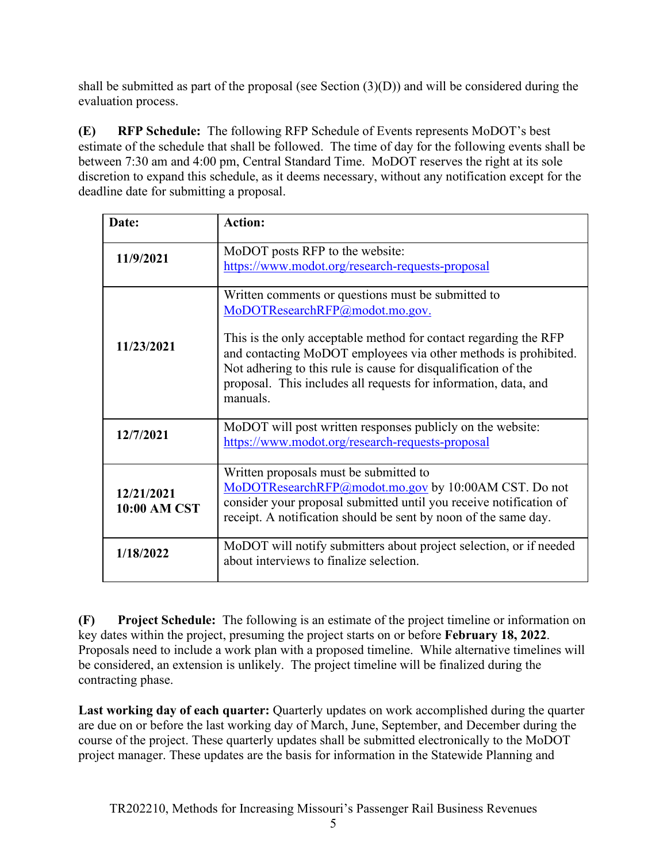shall be submitted as part of the proposal (see Section (3)(D)) and will be considered during the evaluation process.

<span id="page-5-0"></span>**(E) RFP Schedule:** The following RFP Schedule of Events represents MoDOT's best estimate of the schedule that shall be followed. The time of day for the following events shall be between 7:30 am and 4:00 pm, Central Standard Time. MoDOT reserves the right at its sole discretion to expand this schedule, as it deems necessary, without any notification except for the deadline date for submitting a proposal.

| Date:                             | <b>Action:</b>                                                                                                                                                                                                                                                                                                                                                               |
|-----------------------------------|------------------------------------------------------------------------------------------------------------------------------------------------------------------------------------------------------------------------------------------------------------------------------------------------------------------------------------------------------------------------------|
| 11/9/2021                         | MoDOT posts RFP to the website:<br>https://www.modot.org/research-requests-proposal                                                                                                                                                                                                                                                                                          |
| 11/23/2021                        | Written comments or questions must be submitted to<br>MoDOTResearchRFP@modot.mo.gov.<br>This is the only acceptable method for contact regarding the RFP<br>and contacting MoDOT employees via other methods is prohibited.<br>Not adhering to this rule is cause for disqualification of the<br>proposal. This includes all requests for information, data, and<br>manuals. |
| 12/7/2021                         | MoDOT will post written responses publicly on the website:<br>https://www.modot.org/research-requests-proposal                                                                                                                                                                                                                                                               |
| 12/21/2021<br><b>10:00 AM CST</b> | Written proposals must be submitted to<br>MoDOTResearchRFP@modot.mo.gov by 10:00AM CST. Do not<br>consider your proposal submitted until you receive notification of<br>receipt. A notification should be sent by noon of the same day.                                                                                                                                      |
| 1/18/2022                         | MoDOT will notify submitters about project selection, or if needed<br>about interviews to finalize selection.                                                                                                                                                                                                                                                                |

<span id="page-5-1"></span>**(F) Project Schedule:** The following is an estimate of the project timeline or information on key dates within the project, presuming the project starts on or before **February 18, 2022**. Proposals need to include a work plan with a proposed timeline. While alternative timelines will be considered, an extension is unlikely. The project timeline will be finalized during the contracting phase.

**Last working day of each quarter:** Quarterly updates on work accomplished during the quarter are due on or before the last working day of March, June, September, and December during the course of the project. These quarterly updates shall be submitted electronically to the MoDOT project manager. These updates are the basis for information in the Statewide Planning and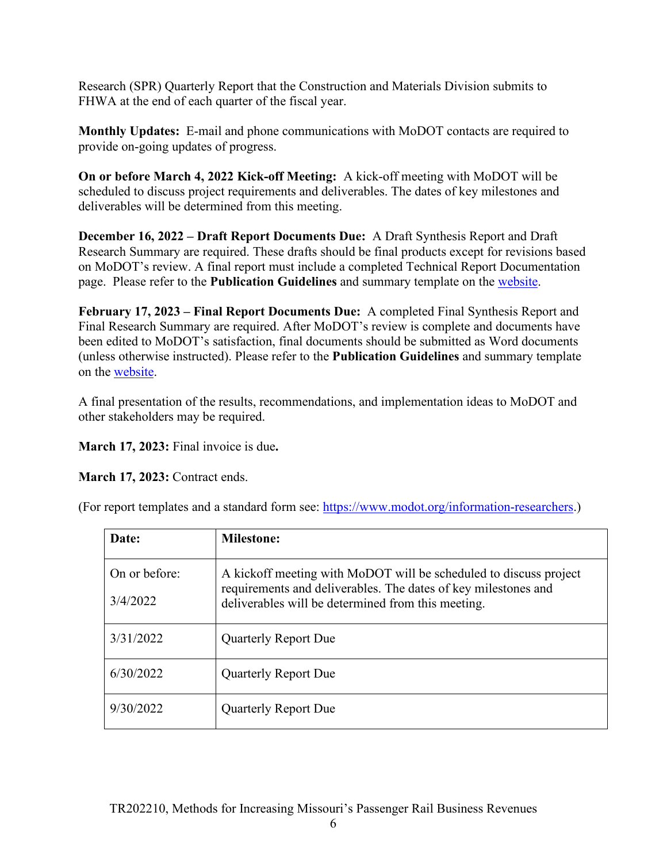Research (SPR) Quarterly Report that the Construction and Materials Division submits to FHWA at the end of each quarter of the fiscal year.

**Monthly Updates:** E-mail and phone communications with MoDOT contacts are required to provide on-going updates of progress.

**On or before March 4, 2022 Kick-off Meeting:** A kick-off meeting with MoDOT will be scheduled to discuss project requirements and deliverables. The dates of key milestones and deliverables will be determined from this meeting.

**December 16, 2022 – Draft Report Documents Due:** A Draft Synthesis Report and Draft Research Summary are required. These drafts should be final products except for revisions based on MoDOT's review. A final report must include a completed Technical Report Documentation page. Please refer to the **Publication Guidelines** and summary template on the [website.](https://www.modot.org/information-researchers)

**February 17, 2023 – Final Report Documents Due:** A completed Final Synthesis Report and Final Research Summary are required. After MoDOT's review is complete and documents have been edited to MoDOT's satisfaction, final documents should be submitted as Word documents (unless otherwise instructed). Please refer to the **Publication Guidelines** and summary template on the [website.](https://www.modot.org/information-researchers)

A final presentation of the results, recommendations, and implementation ideas to MoDOT and other stakeholders may be required.

**March 17, 2023:** Final invoice is due**.** 

**March 17, 2023: Contract ends.** 

(For report templates and a standard form see: [https://www.modot.org/information-researchers.](https://www.modot.org/information-researchers))

| Date:                     | <b>Milestone:</b>                                                                                                                                                                         |
|---------------------------|-------------------------------------------------------------------------------------------------------------------------------------------------------------------------------------------|
| On or before:<br>3/4/2022 | A kickoff meeting with MoDOT will be scheduled to discuss project<br>requirements and deliverables. The dates of key milestones and<br>deliverables will be determined from this meeting. |
| 3/31/2022                 | <b>Quarterly Report Due</b>                                                                                                                                                               |
| 6/30/2022                 | <b>Quarterly Report Due</b>                                                                                                                                                               |
| 9/30/2022                 | <b>Quarterly Report Due</b>                                                                                                                                                               |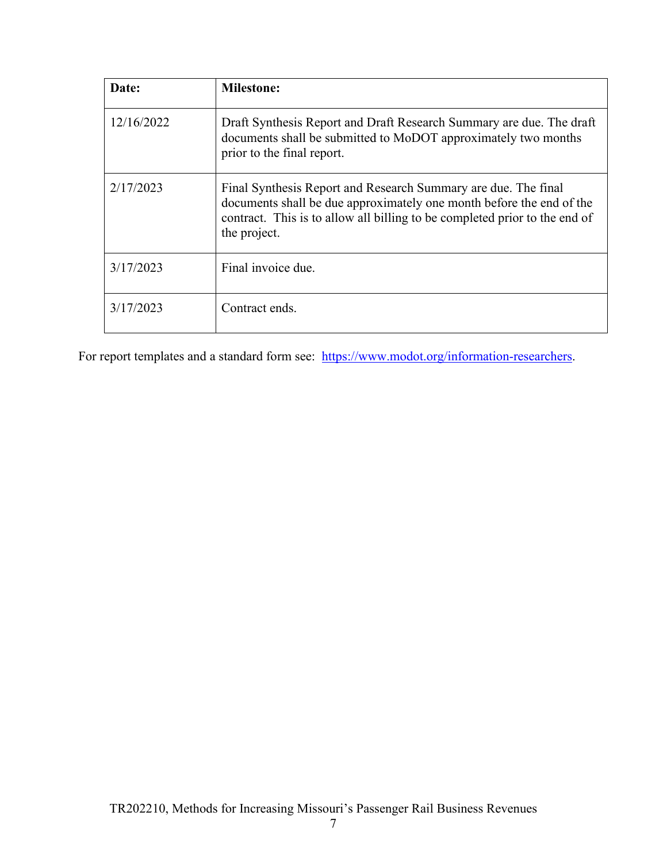| Date:      | <b>Milestone:</b>                                                                                                                                                                                                                    |
|------------|--------------------------------------------------------------------------------------------------------------------------------------------------------------------------------------------------------------------------------------|
| 12/16/2022 | Draft Synthesis Report and Draft Research Summary are due. The draft<br>documents shall be submitted to MoDOT approximately two months<br>prior to the final report.                                                                 |
| 2/17/2023  | Final Synthesis Report and Research Summary are due. The final<br>documents shall be due approximately one month before the end of the<br>contract. This is to allow all billing to be completed prior to the end of<br>the project. |
| 3/17/2023  | Final invoice due.                                                                                                                                                                                                                   |
| 3/17/2023  | Contract ends.                                                                                                                                                                                                                       |

For report templates and a standard form see: [https://www.modot.org/information-researchers.](https://www.modot.org/information-researchers)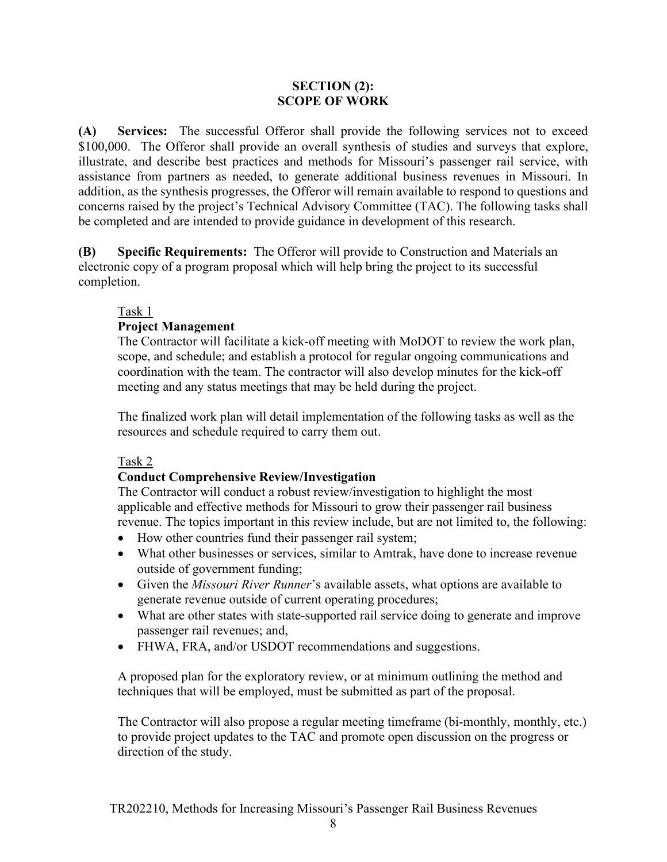#### **SECTION (2): SCOPE OF WORK**

<span id="page-8-1"></span><span id="page-8-0"></span>**(A) Services:** The successful Offeror shall provide the following services not to exceed \$100,000. The Offeror shall provide an overall synthesis of studies and surveys that explore, illustrate, and describe best practices and methods for Missouri's passenger rail service, with assistance from partners as needed, to generate additional business revenues in Missouri. In addition, as the synthesis progresses, the Offeror will remain available to respond to questions and concerns raised by the project's Technical Advisory Committee (TAC). The following tasks shall be completed and are intended to provide guidance in development of this research.

<span id="page-8-2"></span>**(B) Specific Requirements:** The Offeror will provide to Construction and Materials an electronic copy of a program proposal which will help bring the project to its successful completion.

### Task 1

### **Project Management**

The Contractor will facilitate a kick-off meeting with MoDOT to review the work plan, scope, and schedule; and establish a protocol for regular ongoing communications and coordination with the team. The contractor will also develop minutes for the kick-off meeting and any status meetings that may be held during the project.

The finalized work plan will detail implementation of the following tasks as well as the resources and schedule required to carry them out.

### Task 2

## **Conduct Comprehensive Review/Investigation**

The Contractor will conduct a robust review/investigation to highlight the most applicable and effective methods for Missouri to grow their passenger rail business revenue. The topics important in this review include, but are not limited to, the following:

- How other countries fund their passenger rail system;
- What other businesses or services, similar to Amtrak, have done to increase revenue outside of government funding;
- Given the *Missouri River Runner*'s available assets, what options are available to generate revenue outside of current operating procedures;
- What are other states with state-supported rail service doing to generate and improve passenger rail revenues; and,
- FHWA, FRA, and/or USDOT recommendations and suggestions.

A proposed plan for the exploratory review, or at minimum outlining the method and techniques that will be employed, must be submitted as part of the proposal.

The Contractor will also propose a regular meeting timeframe (bi-monthly, monthly, etc.) to provide project updates to the TAC and promote open discussion on the progress or direction of the study.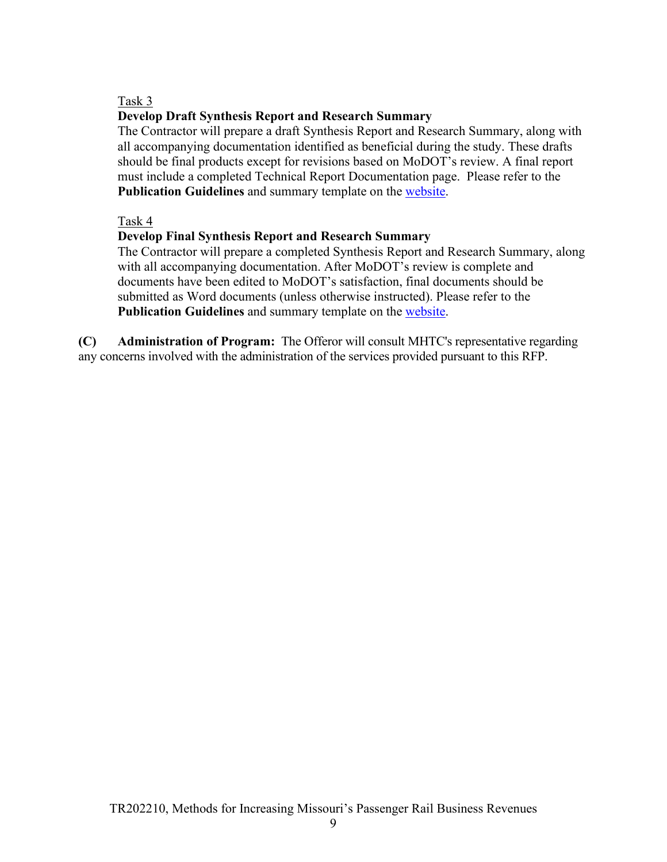### Task 3

### **Develop Draft Synthesis Report and Research Summary**

The Contractor will prepare a draft Synthesis Report and Research Summary, along with all accompanying documentation identified as beneficial during the study. These drafts should be final products except for revisions based on MoDOT's review. A final report must include a completed Technical Report Documentation page. Please refer to the **Publication Guidelines** and summary template on the [website.](http://www.modot.org/services/OR/orTemplates.htm)

#### Task 4

### **Develop Final Synthesis Report and Research Summary**

The Contractor will prepare a completed Synthesis Report and Research Summary, along with all accompanying documentation. After MoDOT's review is complete and documents have been edited to MoDOT's satisfaction, final documents should be submitted as Word documents (unless otherwise instructed). Please refer to the **Publication Guidelines** and summary template on the [website.](http://www.modot.org/services/OR/orTemplates.htm)

<span id="page-9-0"></span>**(C) Administration of Program:** The Offeror will consult MHTC's representative regarding any concerns involved with the administration of the services provided pursuant to this RFP.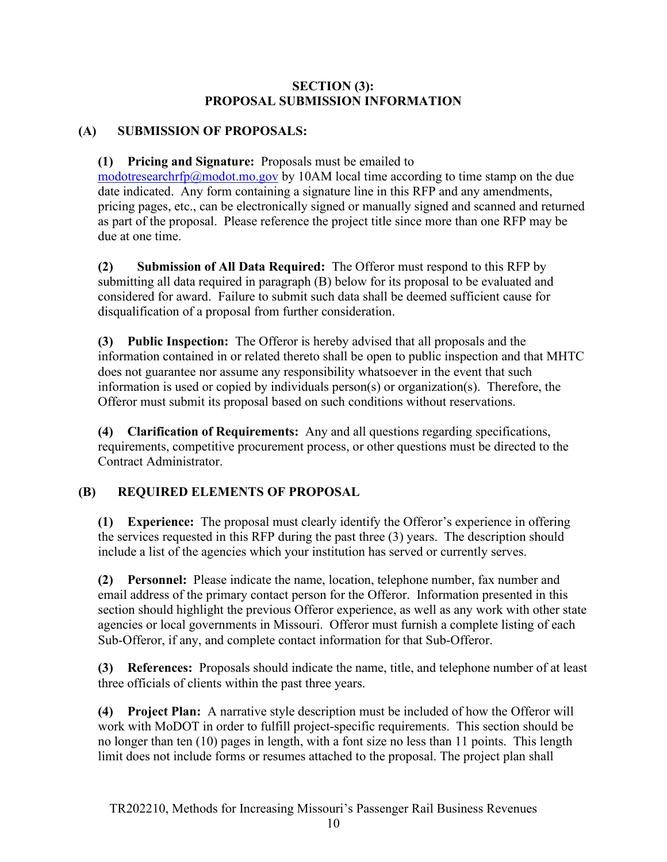### **SECTION (3): PROPOSAL SUBMISSION INFORMATION**

## <span id="page-10-1"></span><span id="page-10-0"></span>**(A) SUBMISSION OF PROPOSALS:**

### <span id="page-10-2"></span>**(1) Pricing and Signature:** Proposals must be emailed to

[modotresearchrfp@modot.mo.gov](mailto:modotresearchrfp@modot.mo.gov) by 10AM local time according to time stamp on the due date indicated. Any form containing a signature line in this RFP and any amendments, pricing pages, etc., can be electronically signed or manually signed and scanned and returned as part of the proposal. Please reference the project title since more than one RFP may be due at one time.

<span id="page-10-3"></span>**(2) Submission of All Data Required:** The Offeror must respond to this RFP by submitting all data required in paragraph (B) below for its proposal to be evaluated and considered for award. Failure to submit such data shall be deemed sufficient cause for disqualification of a proposal from further consideration.

<span id="page-10-4"></span>**(3) Public Inspection:** The Offeror is hereby advised that all proposals and the information contained in or related thereto shall be open to public inspection and that MHTC does not guarantee nor assume any responsibility whatsoever in the event that such information is used or copied by individuals person(s) or organization(s). Therefore, the Offeror must submit its proposal based on such conditions without reservations.

<span id="page-10-5"></span>**(4) Clarification of Requirements:** Any and all questions regarding specifications, requirements, competitive procurement process, or other questions must be directed to the Contract Administrator.

## <span id="page-10-6"></span>**(B) REQUIRED ELEMENTS OF PROPOSAL**

<span id="page-10-7"></span>**(1) Experience:** The proposal must clearly identify the Offeror's experience in offering the services requested in this RFP during the past three (3) years. The description should include a list of the agencies which your institution has served or currently serves.

<span id="page-10-8"></span>**(2) Personnel:** Please indicate the name, location, telephone number, fax number and email address of the primary contact person for the Offeror. Information presented in this section should highlight the previous Offeror experience, as well as any work with other state agencies or local governments in Missouri. Offeror must furnish a complete listing of each Sub-Offeror, if any, and complete contact information for that Sub-Offeror.

<span id="page-10-9"></span>**(3) References:** Proposals should indicate the name, title, and telephone number of at least three officials of clients within the past three years.

<span id="page-10-10"></span>**(4) Project Plan:** A narrative style description must be included of how the Offeror will work with MoDOT in order to fulfill project-specific requirements. This section should be no longer than ten (10) pages in length, with a font size no less than 11 points. This length limit does not include forms or resumes attached to the proposal. The project plan shall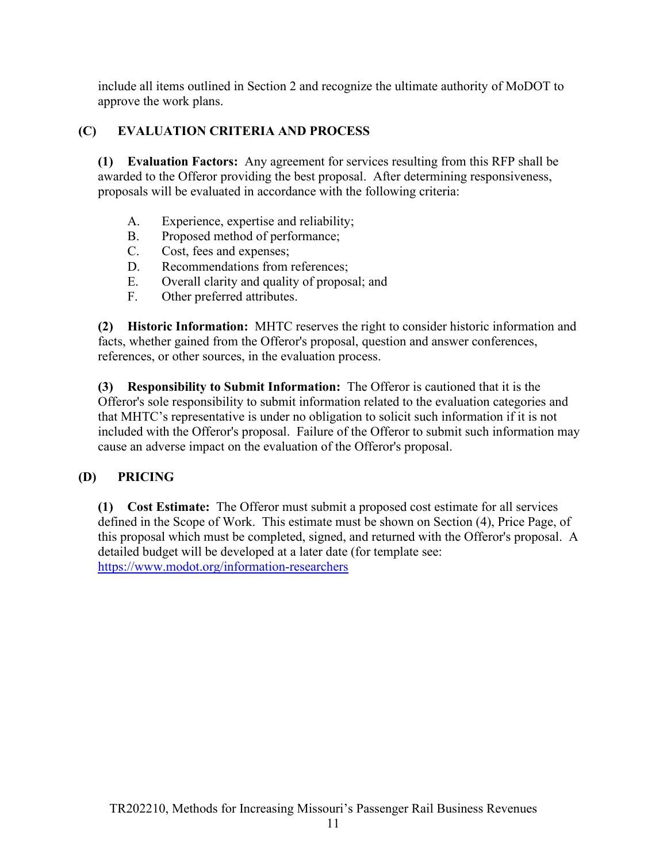include all items outlined in Section 2 and recognize the ultimate authority of MoDOT to approve the work plans.

## <span id="page-11-0"></span>**(C) EVALUATION CRITERIA AND PROCESS**

<span id="page-11-1"></span>**(1) Evaluation Factors:** Any agreement for services resulting from this RFP shall be awarded to the Offeror providing the best proposal. After determining responsiveness, proposals will be evaluated in accordance with the following criteria:

- A. Experience, expertise and reliability;
- B. Proposed method of performance;
- C. Cost, fees and expenses;
- D. Recommendations from references;
- E. Overall clarity and quality of proposal; and
- F. Other preferred attributes.

<span id="page-11-2"></span>**(2) Historic Information:** MHTC reserves the right to consider historic information and facts, whether gained from the Offeror's proposal, question and answer conferences, references, or other sources, in the evaluation process.

<span id="page-11-3"></span>**(3) Responsibility to Submit Information:** The Offeror is cautioned that it is the Offeror's sole responsibility to submit information related to the evaluation categories and that MHTC's representative is under no obligation to solicit such information if it is not included with the Offeror's proposal. Failure of the Offeror to submit such information may cause an adverse impact on the evaluation of the Offeror's proposal.

## <span id="page-11-4"></span>**(D) PRICING**

<span id="page-11-5"></span>**(1) Cost Estimate:** The Offeror must submit a proposed cost estimate for all services defined in the Scope of Work. This estimate must be shown on Section (4), Price Page, of this proposal which must be completed, signed, and returned with the Offeror's proposal. A detailed budget will be developed at a later date (for template see: <https://www.modot.org/information-researchers>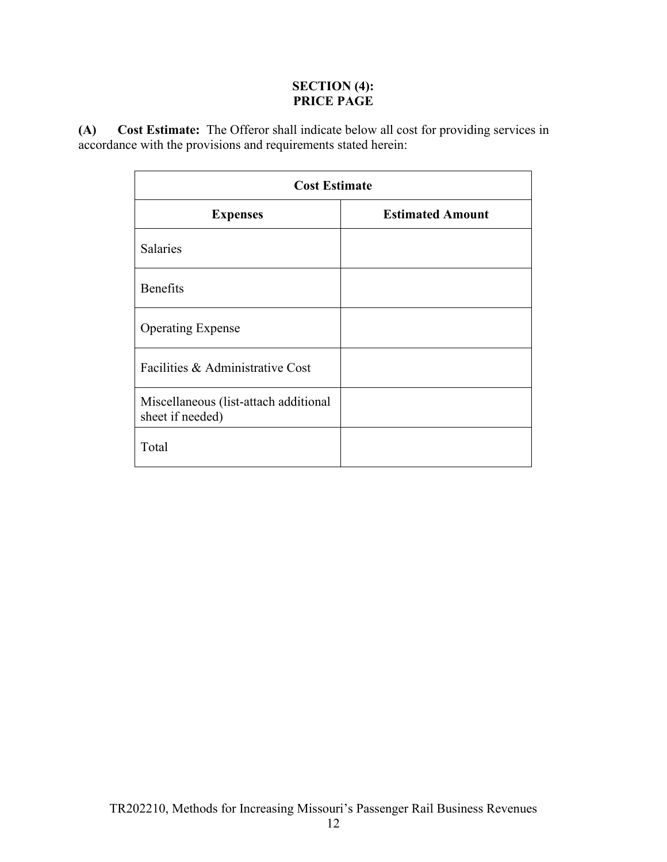### **SECTION (4): PRICE PAGE**

<span id="page-12-1"></span><span id="page-12-0"></span>**(A) Cost Estimate:** The Offeror shall indicate below all cost for providing services in accordance with the provisions and requirements stated herein:

| <b>Cost Estimate</b>                                      |                         |  |  |  |  |  |  |  |
|-----------------------------------------------------------|-------------------------|--|--|--|--|--|--|--|
| <b>Expenses</b>                                           | <b>Estimated Amount</b> |  |  |  |  |  |  |  |
| <b>Salaries</b>                                           |                         |  |  |  |  |  |  |  |
| <b>Benefits</b>                                           |                         |  |  |  |  |  |  |  |
| <b>Operating Expense</b>                                  |                         |  |  |  |  |  |  |  |
| Facilities & Administrative Cost                          |                         |  |  |  |  |  |  |  |
| Miscellaneous (list-attach additional<br>sheet if needed) |                         |  |  |  |  |  |  |  |
| Total                                                     |                         |  |  |  |  |  |  |  |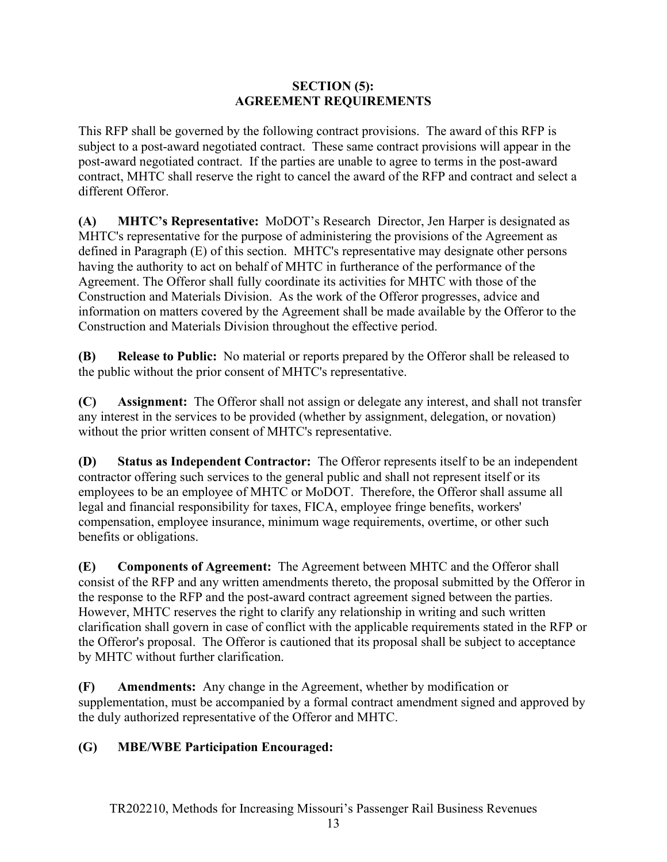### **SECTION (5): AGREEMENT REQUIREMENTS**

<span id="page-13-0"></span>This RFP shall be governed by the following contract provisions. The award of this RFP is subject to a post-award negotiated contract. These same contract provisions will appear in the post-award negotiated contract. If the parties are unable to agree to terms in the post-award contract, MHTC shall reserve the right to cancel the award of the RFP and contract and select a different Offeror.

<span id="page-13-1"></span>**(A) MHTC's Representative:** MoDOT's Research Director, Jen Harper is designated as MHTC's representative for the purpose of administering the provisions of the Agreement as defined in Paragraph (E) of this section. MHTC's representative may designate other persons having the authority to act on behalf of MHTC in furtherance of the performance of the Agreement. The Offeror shall fully coordinate its activities for MHTC with those of the Construction and Materials Division. As the work of the Offeror progresses, advice and information on matters covered by the Agreement shall be made available by the Offeror to the Construction and Materials Division throughout the effective period.

<span id="page-13-2"></span>**(B) Release to Public:** No material or reports prepared by the Offeror shall be released to the public without the prior consent of MHTC's representative.

<span id="page-13-3"></span>**(C) Assignment:** The Offeror shall not assign or delegate any interest, and shall not transfer any interest in the services to be provided (whether by assignment, delegation, or novation) without the prior written consent of MHTC's representative.

<span id="page-13-4"></span>**(D) Status as Independent Contractor:** The Offeror represents itself to be an independent contractor offering such services to the general public and shall not represent itself or its employees to be an employee of MHTC or MoDOT. Therefore, the Offeror shall assume all legal and financial responsibility for taxes, FICA, employee fringe benefits, workers' compensation, employee insurance, minimum wage requirements, overtime, or other such benefits or obligations.

<span id="page-13-5"></span>**(E) Components of Agreement:** The Agreement between MHTC and the Offeror shall consist of the RFP and any written amendments thereto, the proposal submitted by the Offeror in the response to the RFP and the post-award contract agreement signed between the parties. However, MHTC reserves the right to clarify any relationship in writing and such written clarification shall govern in case of conflict with the applicable requirements stated in the RFP or the Offeror's proposal. The Offeror is cautioned that its proposal shall be subject to acceptance by MHTC without further clarification.

<span id="page-13-6"></span>**(F) Amendments:** Any change in the Agreement, whether by modification or supplementation, must be accompanied by a formal contract amendment signed and approved by the duly authorized representative of the Offeror and MHTC.

## <span id="page-13-7"></span>**(G) MBE/WBE Participation Encouraged:**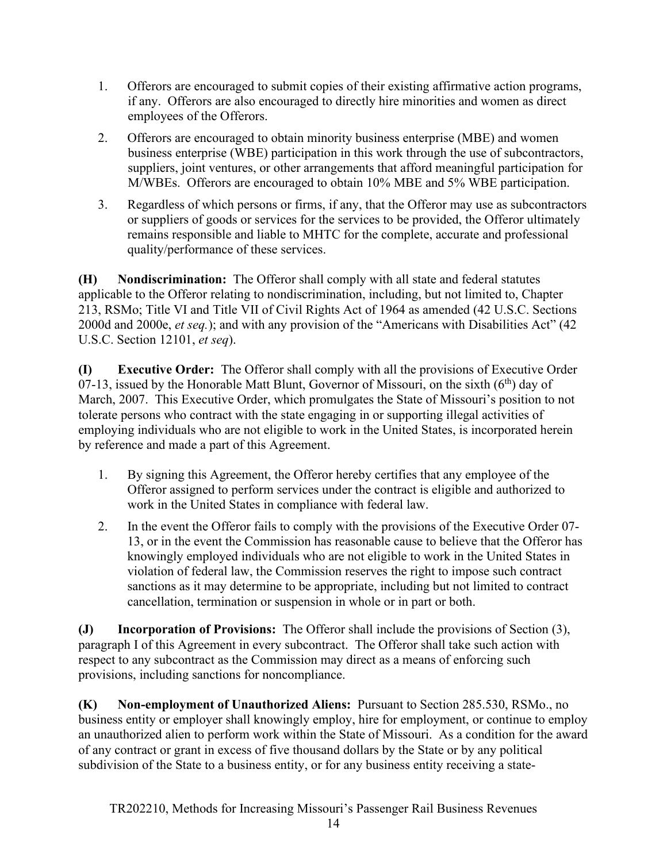- 1. Offerors are encouraged to submit copies of their existing affirmative action programs, if any. Offerors are also encouraged to directly hire minorities and women as direct employees of the Offerors.
- 2. Offerors are encouraged to obtain minority business enterprise (MBE) and women business enterprise (WBE) participation in this work through the use of subcontractors, suppliers, joint ventures, or other arrangements that afford meaningful participation for M/WBEs. Offerors are encouraged to obtain 10% MBE and 5% WBE participation.
- 3. Regardless of which persons or firms, if any, that the Offeror may use as subcontractors or suppliers of goods or services for the services to be provided, the Offeror ultimately remains responsible and liable to MHTC for the complete, accurate and professional quality/performance of these services.

<span id="page-14-0"></span>**(H) Nondiscrimination:** The Offeror shall comply with all state and federal statutes applicable to the Offeror relating to nondiscrimination, including, but not limited to, Chapter 213, RSMo; Title VI and Title VII of Civil Rights Act of 1964 as amended (42 U.S.C. Sections 2000d and 2000e, *et seq.*); and with any provision of the "Americans with Disabilities Act" (42 U.S.C. Section 12101, *et seq*).

<span id="page-14-1"></span>**(I) Executive Order:** The Offeror shall comply with all the provisions of Executive Order 07-13, issued by the Honorable Matt Blunt, Governor of Missouri, on the sixth  $(6<sup>th</sup>)$  day of March, 2007. This Executive Order, which promulgates the State of Missouri's position to not tolerate persons who contract with the state engaging in or supporting illegal activities of employing individuals who are not eligible to work in the United States, is incorporated herein by reference and made a part of this Agreement.

- 1. By signing this Agreement, the Offeror hereby certifies that any employee of the Offeror assigned to perform services under the contract is eligible and authorized to work in the United States in compliance with federal law.
- 2. In the event the Offeror fails to comply with the provisions of the Executive Order 07- 13, or in the event the Commission has reasonable cause to believe that the Offeror has knowingly employed individuals who are not eligible to work in the United States in violation of federal law, the Commission reserves the right to impose such contract sanctions as it may determine to be appropriate, including but not limited to contract cancellation, termination or suspension in whole or in part or both.

<span id="page-14-2"></span>**(J) Incorporation of Provisions:** The Offeror shall include the provisions of Section (3), paragraph I of this Agreement in every subcontract. The Offeror shall take such action with respect to any subcontract as the Commission may direct as a means of enforcing such provisions, including sanctions for noncompliance.

<span id="page-14-3"></span>**(K) Non-employment of Unauthorized Aliens:** Pursuant to Section 285.530, RSMo., no business entity or employer shall knowingly employ, hire for employment, or continue to employ an unauthorized alien to perform work within the State of Missouri. As a condition for the award of any contract or grant in excess of five thousand dollars by the State or by any political subdivision of the State to a business entity, or for any business entity receiving a state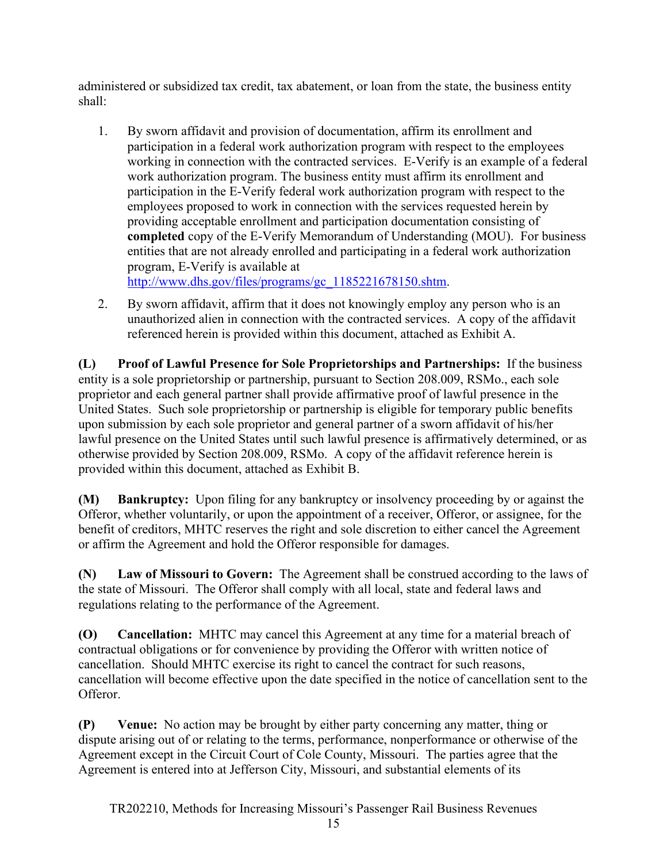administered or subsidized tax credit, tax abatement, or loan from the state, the business entity shall:

1. By sworn affidavit and provision of documentation, affirm its enrollment and participation in a federal work authorization program with respect to the employees working in connection with the contracted services. E-Verify is an example of a federal work authorization program. The business entity must affirm its enrollment and participation in the E-Verify federal work authorization program with respect to the employees proposed to work in connection with the services requested herein by providing acceptable enrollment and participation documentation consisting of **completed** copy of the E-Verify Memorandum of Understanding (MOU). For business entities that are not already enrolled and participating in a federal work authorization program, E-Verify is available at

[http://www.dhs.gov/files/programs/gc\\_1185221678150.shtm.](http://www.dhs.gov/files/programs/gc_1185221678150.shtm)

2. By sworn affidavit, affirm that it does not knowingly employ any person who is an unauthorized alien in connection with the contracted services. A copy of the affidavit referenced herein is provided within this document, attached as Exhibit A.

<span id="page-15-0"></span>**(L) Proof of Lawful Presence for Sole Proprietorships and Partnerships:** If the business entity is a sole proprietorship or partnership, pursuant to Section 208.009, RSMo., each sole proprietor and each general partner shall provide affirmative proof of lawful presence in the United States. Such sole proprietorship or partnership is eligible for temporary public benefits upon submission by each sole proprietor and general partner of a sworn affidavit of his/her lawful presence on the United States until such lawful presence is affirmatively determined, or as otherwise provided by Section 208.009, RSMo. A copy of the affidavit reference herein is provided within this document, attached as Exhibit B.

<span id="page-15-1"></span>**(M) Bankruptcy:** Upon filing for any bankruptcy or insolvency proceeding by or against the Offeror, whether voluntarily, or upon the appointment of a receiver, Offeror, or assignee, for the benefit of creditors, MHTC reserves the right and sole discretion to either cancel the Agreement or affirm the Agreement and hold the Offeror responsible for damages.

<span id="page-15-2"></span>**(N) Law of Missouri to Govern:** The Agreement shall be construed according to the laws of the state of Missouri. The Offeror shall comply with all local, state and federal laws and regulations relating to the performance of the Agreement.

<span id="page-15-3"></span>**(O) Cancellation:** MHTC may cancel this Agreement at any time for a material breach of contractual obligations or for convenience by providing the Offeror with written notice of cancellation. Should MHTC exercise its right to cancel the contract for such reasons, cancellation will become effective upon the date specified in the notice of cancellation sent to the Offeror.

<span id="page-15-4"></span>**(P) Venue:** No action may be brought by either party concerning any matter, thing or dispute arising out of or relating to the terms, performance, nonperformance or otherwise of the Agreement except in the Circuit Court of Cole County, Missouri. The parties agree that the Agreement is entered into at Jefferson City, Missouri, and substantial elements of its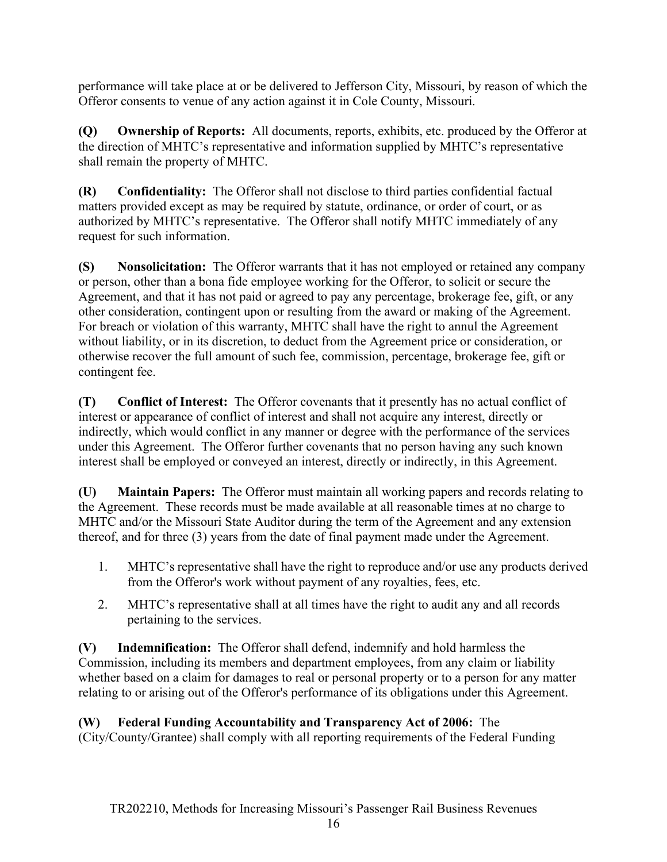performance will take place at or be delivered to Jefferson City, Missouri, by reason of which the Offeror consents to venue of any action against it in Cole County, Missouri.

<span id="page-16-0"></span>**(Q) Ownership of Reports:** All documents, reports, exhibits, etc. produced by the Offeror at the direction of MHTC's representative and information supplied by MHTC's representative shall remain the property of MHTC.

<span id="page-16-1"></span>**(R) Confidentiality:** The Offeror shall not disclose to third parties confidential factual matters provided except as may be required by statute, ordinance, or order of court, or as authorized by MHTC's representative. The Offeror shall notify MHTC immediately of any request for such information.

<span id="page-16-2"></span>**(S) Nonsolicitation:** The Offeror warrants that it has not employed or retained any company or person, other than a bona fide employee working for the Offeror, to solicit or secure the Agreement, and that it has not paid or agreed to pay any percentage, brokerage fee, gift, or any other consideration, contingent upon or resulting from the award or making of the Agreement. For breach or violation of this warranty, MHTC shall have the right to annul the Agreement without liability, or in its discretion, to deduct from the Agreement price or consideration, or otherwise recover the full amount of such fee, commission, percentage, brokerage fee, gift or contingent fee.

<span id="page-16-3"></span>**(T) Conflict of Interest:** The Offeror covenants that it presently has no actual conflict of interest or appearance of conflict of interest and shall not acquire any interest, directly or indirectly, which would conflict in any manner or degree with the performance of the services under this Agreement. The Offeror further covenants that no person having any such known interest shall be employed or conveyed an interest, directly or indirectly, in this Agreement.

<span id="page-16-4"></span>**(U) Maintain Papers:** The Offeror must maintain all working papers and records relating to the Agreement. These records must be made available at all reasonable times at no charge to MHTC and/or the Missouri State Auditor during the term of the Agreement and any extension thereof, and for three (3) years from the date of final payment made under the Agreement.

- 1. MHTC's representative shall have the right to reproduce and/or use any products derived from the Offeror's work without payment of any royalties, fees, etc.
- 2. MHTC's representative shall at all times have the right to audit any and all records pertaining to the services.

<span id="page-16-5"></span>**(V) Indemnification:** The Offeror shall defend, indemnify and hold harmless the Commission, including its members and department employees, from any claim or liability whether based on a claim for damages to real or personal property or to a person for any matter relating to or arising out of the Offeror's performance of its obligations under this Agreement.

# <span id="page-16-6"></span>**(W) Federal Funding Accountability and Transparency Act of 2006:** The

(City/County/Grantee) shall comply with all reporting requirements of the Federal Funding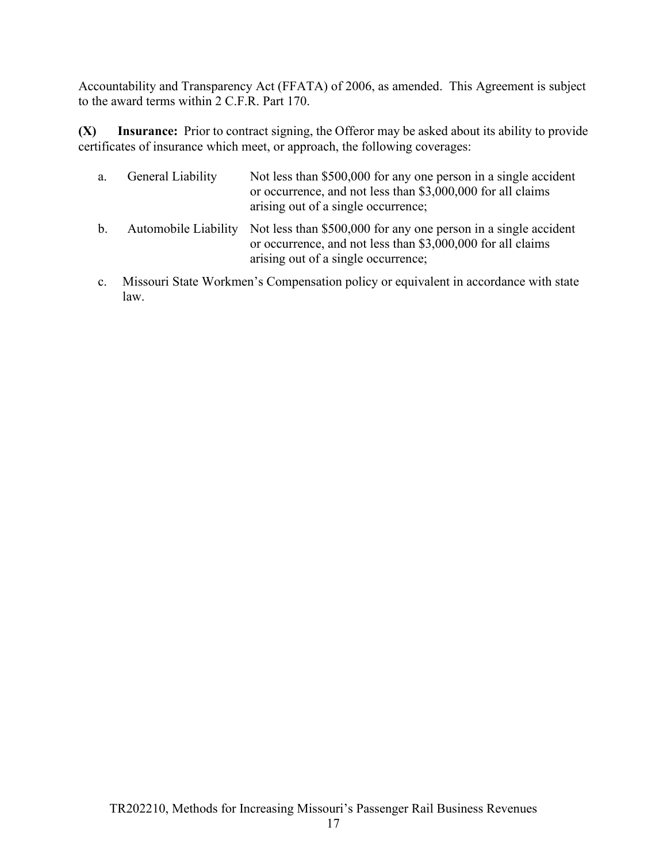Accountability and Transparency Act (FFATA) of 2006, as amended. This Agreement is subject to the award terms within 2 C.F.R. Part 170.

<span id="page-17-0"></span>**(X) Insurance:** Prior to contract signing, the Offeror may be asked about its ability to provide certificates of insurance which meet, or approach, the following coverages:

|    | a. General Liability | Not less than \$500,000 for any one person in a single accident<br>or occurrence, and not less than \$3,000,000 for all claims<br>arising out of a single occurrence; |
|----|----------------------|-----------------------------------------------------------------------------------------------------------------------------------------------------------------------|
| b. |                      | Automobile Liability Not less than \$500,000 for any one person in a single accident<br>or occurrence, and not less than \$3,000,000 for all claims                   |

c. Missouri State Workmen's Compensation policy or equivalent in accordance with state law.

arising out of a single occurrence;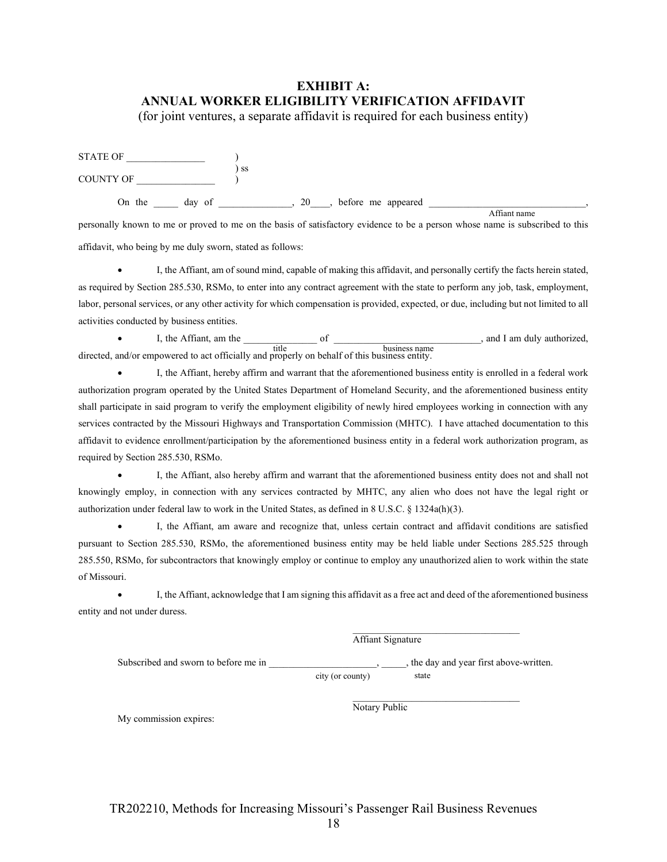# <span id="page-18-0"></span>**EXHIBIT A: ANNUAL WORKER ELIGIBILITY VERIFICATION AFFIDAVIT**

(for joint ventures, a separate affidavit is required for each business entity)

| <b>STATE OF</b>  |        |      |    |                      |  |
|------------------|--------|------|----|----------------------|--|
| <b>COUNTY OF</b> |        | ∣ SS |    |                      |  |
| On the           | day of |      | 20 | , before me appeared |  |

personally known to me or proved to me on the basis of satisfactory evidence to be a person whose name is subscribed to this affidavit, who being by me duly sworn, stated as follows: Affiant name

• I, the Affiant, am of sound mind, capable of making this affidavit, and personally certify the facts herein stated, as required by Section 285.530, RSMo, to enter into any contract agreement with the state to perform any job, task, employment, labor, personal services, or any other activity for which compensation is provided, expected, or due, including but not limited to all activities conducted by business entities.

• I, the Affiant, am the \_\_\_\_\_\_\_\_\_\_\_\_\_\_\_ of \_\_\_\_\_\_\_\_\_\_\_\_\_\_\_\_\_\_\_\_\_\_\_\_\_\_\_\_\_\_, and I am duly authorized, directed, and/or empowered to act officially and properly on behalf of this business entity. title business name

• I, the Affiant, hereby affirm and warrant that the aforementioned business entity is enrolled in a federal work authorization program operated by the United States Department of Homeland Security, and the aforementioned business entity shall participate in said program to verify the employment eligibility of newly hired employees working in connection with any services contracted by the Missouri Highways and Transportation Commission (MHTC). I have attached documentation to this affidavit to evidence enrollment/participation by the aforementioned business entity in a federal work authorization program, as required by Section 285.530, RSMo.

• I, the Affiant, also hereby affirm and warrant that the aforementioned business entity does not and shall not knowingly employ, in connection with any services contracted by MHTC, any alien who does not have the legal right or authorization under federal law to work in the United States, as defined in 8 U.S.C. § 1324a(h)(3).

• I, the Affiant, am aware and recognize that, unless certain contract and affidavit conditions are satisfied pursuant to Section 285.530, RSMo, the aforementioned business entity may be held liable under Sections 285.525 through 285.550, RSMo, for subcontractors that knowingly employ or continue to employ any unauthorized alien to work within the state of Missouri.

• I, the Affiant, acknowledge that I am signing this affidavit as a free act and deed of the aforementioned business entity and not under duress.

> \_\_\_\_\_\_\_\_\_\_\_\_\_\_\_\_\_\_\_\_\_\_\_\_\_\_\_\_\_\_\_\_\_\_ Affiant Signature

\_\_\_\_\_\_\_\_\_\_\_\_\_\_\_\_\_\_\_\_\_\_\_\_\_\_\_\_\_\_\_\_\_\_

Subscribed and sworn to before me in  $\qquad \qquad$ , the day and year first above-written.

city (or county) state

Notary Public

My commission expires: